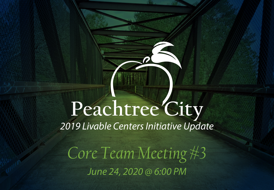### **Peachtree City** *2019 Livable Centers Initiative Update*

*Core Team Meeting #3 June 24, 2020 @ 6:00 PM*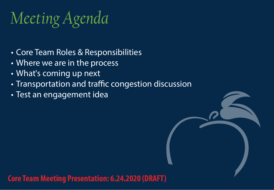### *Meeting Agenda*

- Core Team Roles & Responsibilities
- Where we are in the process
- What's coming up next
- Transportation and traffic congestion discussion
- Test an engagement idea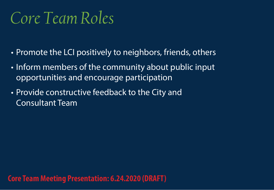### *Core Team Roles*

- Promote the LCI positively to neighbors, friends, others
- Inform members of the community about public input opportunities and encourage participation
- Provide constructive feedback to the City and Consultant Team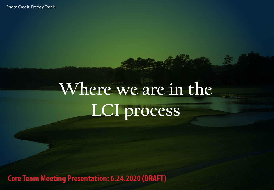Photo Credit: Freddy Frank

# **Where we are in the LCI process**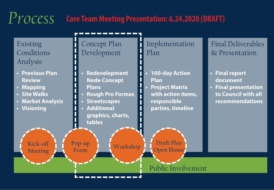#### *Process* **Core Team Meeting Presentation: 6.24.2020 (DRAFT)**

Existing Conditions Analysis

- **• Previous Plan Review**
- **• Mapping**
- **• Site Walks**
- **• Market Analysis**

**Kick-off** 

**• Visioning**

Concept Plan Development

- **• Redevelopment Node Concept Plans**
- **• Rough Pro Formas**
- **• Streetscapes**

**Pop-up** 

**Event**

Meeting **COVERSITY** Event Workshop

**• Additional graphics, charts, tables**

Implementation Plan

**• 100-day Action Plan**

**• Project Matrix with action items, responsible parties, timeline**

**Draft Plan** 

**Open House**

Public Involvement

Final Deliverables & Presentation

- **• Final report document**
- **• Final presentation to Council with all recommendations**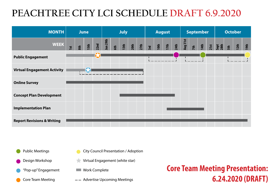### **PEACHTREE CITY LCI SCHEDULE DRAFT 6.9.2020**

| <b>MONTH</b>                          | <b>June</b> |     |      |      | <b>July</b> |     |      |      |      | <b>August</b> |      |      |             | <b>September</b> |     |      |  | <b>October</b>       |     |                  |      |
|---------------------------------------|-------------|-----|------|------|-------------|-----|------|------|------|---------------|------|------|-------------|------------------|-----|------|--|----------------------|-----|------------------|------|
| <b>WEEK</b>                           | 1st         | 8th | 15th | 22nd | Jun 29th    | 6th | 13th | 20th | 27th | 3rd           | 10th | 17th | <b>24th</b> | Aug 31st         | 7th | 14th |  | 21st<br>Sept<br>28th | 5th | 12 <sub>th</sub> | 19th |
| <b>Public Engagement</b>              |             |     |      |      |             |     |      |      |      |               |      |      |             |                  |     |      |  |                      |     |                  |      |
| <b>Virtual Engagement Activity</b>    |             |     |      |      |             |     |      |      |      |               |      |      |             |                  |     |      |  |                      |     |                  |      |
| <b>Online Survey</b>                  |             |     |      |      |             |     |      |      |      |               |      |      |             |                  |     |      |  |                      |     |                  |      |
| <b>Concept Plan Development</b>       |             |     |      |      |             |     |      |      |      |               |      |      |             |                  |     |      |  |                      |     |                  |      |
| <b>Implementation Plan</b>            |             |     |      |      |             |     |      |      |      |               |      |      |             |                  |     |      |  |                      |     |                  |      |
| <b>Report Revisions &amp; Writing</b> |             |     |      |      |             |     |      |      |      |               |      |      |             |                  |     |      |  |                      |     |                  |      |

Public Meetings

Design Workshop

"Pop-up" Engagement

Core Team Meeting

City Council Presentation / Adoption

- Virtual Engagement (white star)
- **Work Complete**
- $--$  Advertise Upcoming Meetings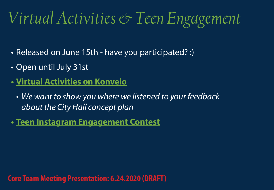### *Virtual Activities & Teen Engagement*

- Released on June 15th have you participated? :)
- Open until July 31st
- **• [Virtual Activities](https://www.myptc.konveio.com) on Konveio**
	- *• We want to show you where we listened to your feedback about the City Hall concept plan*
- **• [Teen Instagram Engagement Contest](http://www.peachtreecitylci.com)**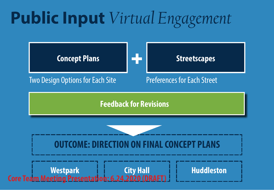## **Public Input** *Virtual Engagement*

**Concept Plans Streetscapes** 

Two Design Options for Each Site<br>
Preferences for Each Street

**Feedback for Revisions**

### **OUTCOME: DIRECTION ON FINAL CONCEPT PLANS**

**Westpark City Hall Huddleston Core Team Meeting Presentation: 6.24.2020 (DRAFT)**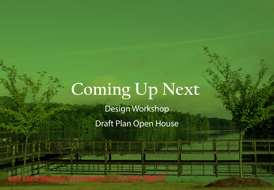## **Coming Up Next**

Design Workshop

Draft Plan Open House

**Presentation:**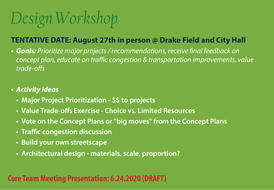# *Design Workshop*

#### **TENTATIVE DATE: August 27th in person @ Drake Field and City Hall**

*• Goals: Prioritize major projects / recommendations, receive final feedback on concept plan, educate on traffic congestion & transportation improvements, value trade-offs*

#### *• Activity Ideas*

- **• Major Project Prioritization \$\$ to projects**
- **• Value Trade-offs Exercise Choice vs. Limited Resources**
- **• Vote on the Concept Plans or "big moves" from the Concept Plans**
- **• Traffic congestion discussion**
- **• Build your own streetscape**
- **• Architectural design materials, scale, proportion?**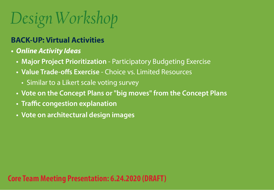# *Design Workshop*

### **BACK-UP: Virtual Activities**

- *• Online Activity Ideas*
	- **• Major Project Prioritization** Participatory Budgeting Exercise
	- **• Value Trade-offs Exercise** Choice vs. Limited Resources
		- Similar to a Likert scale voting survey
	- **• Vote on the Concept Plans or "big moves" from the Concept Plans**
	- **• Traffic congestion explanation**
	- **• Vote on architectural design images**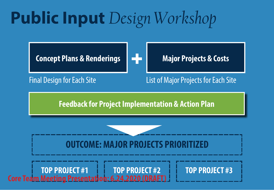## **Public Input** *Design Workshop*

**Concept Plans & Renderings | Hall Major Projects & Costs** 



Final Design for Each Site<br>
List of Major Projects for Each Site

**Feedback for Project Implementation & Action Plan**

### **OUTCOME: MAJOR PROJECTS PRIORI**

**TOP PROJECT #1 TOP PROJECT #2 TOP PROJECT #3 Core Team Meeting Presentation: 6.24.2020 (DRAFT)**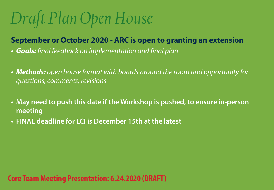# *Draft Plan Open House*

#### **September or October 2020 - ARC is open to granting an extension**

- *• Goals: final feedback on implementation and final plan*
- *• Methods: open house format with boards around the room and opportunity for questions, comments, revisions*
- **• May need to push this date if the Workshop is pushed, to ensure in-person meeting**
- **• FINAL deadline for LCI is December 15th at the latest**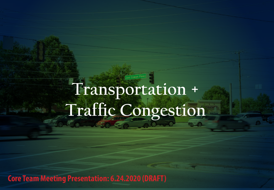## **Transportation + Traffic Congestion**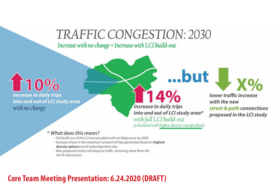### TRAFFIC CONGESTION: 2030

Increase with no change + Increase with LCI build-out

10% increase in daily trips into and out of LCI study area with no change

increase in daily trips into and out of LCI study area\* with full LCI build-out (calculated with highest density concept plans)

...but

lower traffic increase with the new street & path connections proposed in the LCI study

 $-$  X<sup>o</sup>/o

#### \* What does this mean?

- Full build-out of the LCI concept plans will not likely occur by 2030
- Increase shown is the maximum amount of trips generated based on highest density options on all redevelopment sites.
- New proposed streets will disperse traffic, removing some from the 54/74 intersection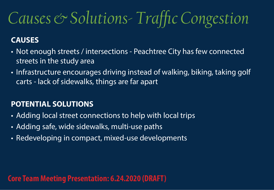### *Causes & Solutions- Traffic Congestion*

#### **CAUSES**

- Not enough streets / intersections Peachtree City has few connected streets in the study area
- Infrastructure encourages driving instead of walking, biking, taking golf carts - lack of sidewalks, things are far apart

#### **POTENTIAL SOLUTIONS**

- Adding local street connections to help with local trips
- Adding safe, wide sidewalks, multi-use paths
- Redeveloping in compact, mixed-use developments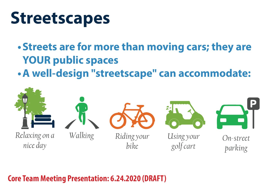### **Streetscapes**

- **•Streets are for more than moving cars; they are YOUR public spaces**
- **•A well-design "streetscape" can accommodate:**

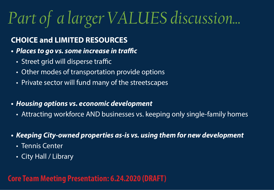# *Part of a larger VALUES discussion...*

### **CHOICE and LIMITED RESOURCES**

- *• Places to go vs. some increase in traffic*
	- Street grid will disperse traffic
	- Other modes of transportation provide options
	- Private sector will fund many of the streetscapes
- *• Housing options vs. economic development*
	- Attracting workforce AND businesses vs. keeping only single-family homes
- *• Keeping City-owned properties as-is vs. using them for new development*
	- Tennis Center
	- City Hall / Library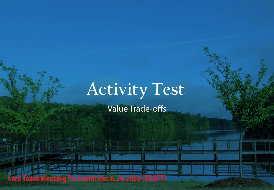### **Activity Test**

Value Trade-offs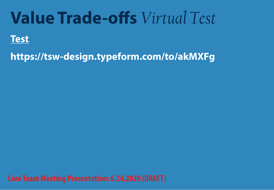### **Value Trade-offs** *Virtual Test*

### **[Test](https://tsw-design.typeform.com/to/akMXFg)**

**<https://tsw-design.typeform.com/to/akMXFg>**